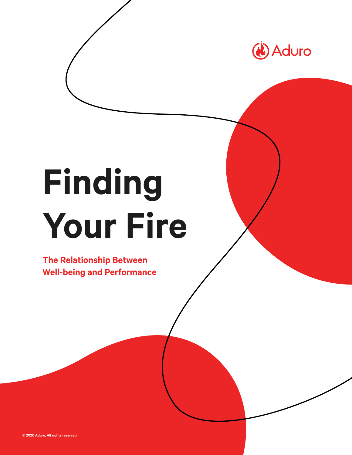

# **Finding Your Fire**

**The Relationship Between Well-being and Performance**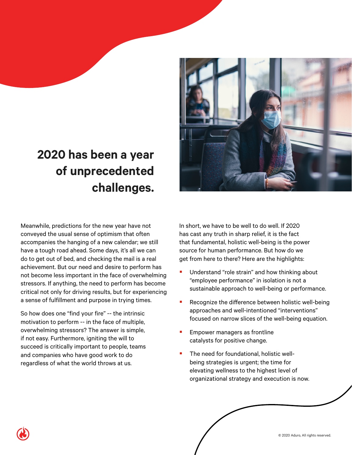#### **2020 has been a year of unprecedented challenges.**

Meanwhile, predictions for the new year have not conveyed the usual sense of optimism that often accompanies the hanging of a new calendar; we still have a tough road ahead. Some days, it's all we can do to get out of bed, and checking the mail is a real achievement. But our need and desire to perform has not become less important in the face of overwhelming stressors. If anything, the need to perform has become critical not only for driving results, but for experiencing a sense of fulfillment and purpose in trying times.

So how does one "find your fire" -- the intrinsic motivation to perform -- in the face of multiple, overwhelming stressors? The answer is simple, if not easy. Furthermore, igniting the will to succeed is critically important to people, teams and companies who have good work to do regardless of what the world throws at us.

In short, we have to be well to do well. If 2020 has cast any truth in sharp relief, it is the fact that fundamental, holistic well-being is the power source for human performance. But how do we get from here to there? Here are the highlights:

- Understand "role strain" and how thinking about "employee performance" in isolation is not a sustainable approach to well-being or performance.
- Recognize the difference between holistic well-being approaches and well-intentioned "interventions" focused on narrow slices of the well-being equation.
- Empower managers as frontline catalysts for positive change.
- The need for foundational, holistic wellbeing strategies is urgent; the time for elevating wellness to the highest level of organizational strategy and execution is now.



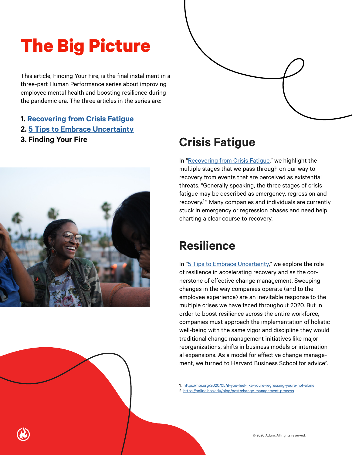#### **The Big Picture**

This article, Finding Your Fire, is the final installment in a three-part Human Performance series about improving employee mental health and boosting resilience during the pandemic era. The three articles in the series are:

- **1. [Recovering from Crisis Fatigue](https://adurolife.com/whitepapers/fight-back-against-crisis-fatigue-holistic-employee-wellbeing/)**
- **2. [5 Tips to Embrace Uncertainty](https://adurolife.com/whitepapers/5-critical-steps-to-boost-employee-resilience-in-the-time-of-covid-19/)**
- 



#### **3. Finding Your Fire Crisis Fatigue**

In ["Recovering from Crisis Fatigue](https://adurolife.com/whitepapers/fight-back-against-crisis-fatigue-holistic-employee-wellbeing/)," we highlight the multiple stages that we pass through on our way to recovery from events that are perceived as existential threats. "Generally speaking, the three stages of crisis fatigue may be described as emergency, regression and recovery.<sup>1</sup>" Many companies and individuals are currently stuck in emergency or regression phases and need help charting a clear course to recovery.

#### **Resilience**

In ["5 Tips to Embrace Uncertainty,](https://adurolife.com/whitepapers/5-critical-steps-to-boost-employee-resilience-in-the-time-of-covid-19/)" we explore the role of resilience in accelerating recovery and as the cornerstone of effective change management. Sweeping changes in the way companies operate (and to the employee experience) are an inevitable response to the multiple crises we have faced throughout 2020. But in order to boost resilience across the entire workforce, companies must approach the implementation of holistic well-being with the same vigor and discipline they would traditional change management initiatives like major reorganizations, shifts in business models or international expansions. As a model for effective change management, we turned to Harvard Business School for advice<sup>2</sup>. .

1. <https://hbr.org/2020/05/if-you-feel-like-youre-regressing-youre-not-alone> 2. <https://online.hbs.edu/blog/post/change-management-process>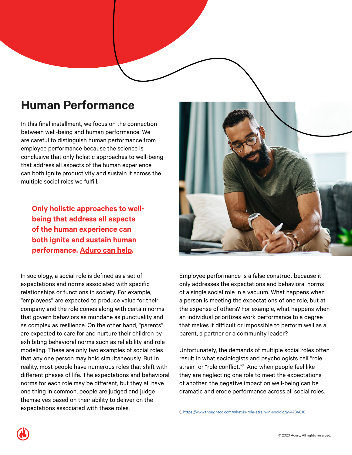#### **Human Performance**

In this final installment, we focus on the connection between well-being and human performance. We are careful to distinguish human performance from employee performance because the science is conclusive that only holistic approaches to well-being that address all aspects of the human experience can both ignite productivity and sustain it across the multiple social roles we fulfill.

**Only holistic approaches to wellbeing that address all aspects of the human experience can both ignite and sustain human performance. [Aduro can help](https://adurolife.com/).**

In sociology, a social role is defined as a set of expectations and norms associated with specific relationships or functions in society. For example, "employees" are expected to produce value for their company and the role comes along with certain norms that govern behaviors as mundane as punctuality and as complex as resilience. On the other hand, "parents" are expected to care for and nurture their children by exhibiting behavioral norms such as reliability and role modeling. These are only two examples of social roles that any one person may hold simultaneously. But in reality, most people have numerous roles that shift with different phases of life. The expectations and behavioral norms for each role may be different, but they all have one thing in common; people are judged and judge themselves based on their ability to deliver on the expectations associated with these roles.



Employee performance is a false construct because it only addresses the expectations and behavioral norms of a single social role in a vacuum. What happens when a person is meeting the expectations of one role, but at the expense of others? For example, what happens when an individual prioritizes work performance to a degree that makes it difficult or impossible to perform well as a parent, a partner or a community leader?

Unfortunately, the demands of multiple social roles often result in what sociologists and psychologists call "role strain" or "role conflict."3 And when people feel like they are neglecting one role to meet the expectations of another, the negative impact on well-being can be dramatic and erode performance across all social roles.

3. <https://www.thoughtco.com/what-is-role-strain-in-sociology-4784018>



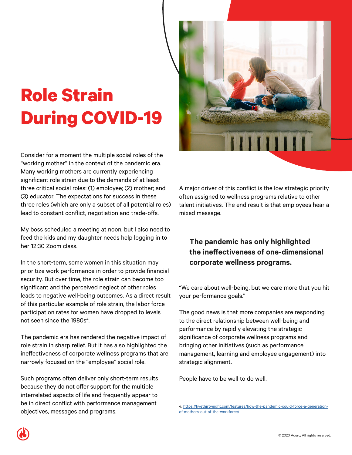### **Role Strain During COVID-19**

Consider for a moment the multiple social roles of the "working mother" in the context of the pandemic era. Many working mothers are currently experiencing significant role strain due to the demands of at least three critical social roles: (1) employee; (2) mother; and (3) educator. The expectations for success in these three roles (which are only a subset of all potential roles) lead to constant conflict, negotiation and trade-offs.

My boss scheduled a meeting at noon, but I also need to feed the kids and my daughter needs help logging in to her 12:30 Zoom class.

In the short-term, some women in this situation may prioritize work performance in order to provide financial security. But over time, the role strain can become too significant and the perceived neglect of other roles leads to negative well-being outcomes. As a direct result of this particular example of role strain, the labor force participation rates for women have dropped to levels not seen since the 1980s<sup>4</sup>.

The pandemic era has rendered the negative impact of role strain in sharp relief. But it has also highlighted the ineffectiveness of corporate wellness programs that are narrowly focused on the "employee" social role.

Such programs often deliver only short-term results because they do not offer support for the multiple interrelated aspects of life and frequently appear to be in direct conflict with performance management objectives, messages and programs.



A major driver of this conflict is the low strategic priority often assigned to wellness programs relative to other talent initiatives. The end result is that employees hear a mixed message.

#### **The pandemic has only highlighted the ineffectiveness of one-dimensional corporate wellness programs.**

"We care about well-being, but we care more that you hit your performance goals."

The good news is that more companies are responding to the direct relationship between well-being and performance by rapidly elevating the strategic significance of corporate wellness programs and bringing other initiatives (such as performance management, learning and employee engagement) into strategic alignment.

People have to be well to do well.



<sup>4.</sup> [https://fivethirtyeight.com/features/how-the-pandemic-could-force-a-generation](https://fivethirtyeight.com/features/how-the-pandemic-could-force-a-generation-of-mothers-out-of-the-workforce/)[of-mothers-out-of-the-workforce/](https://fivethirtyeight.com/features/how-the-pandemic-could-force-a-generation-of-mothers-out-of-the-workforce/)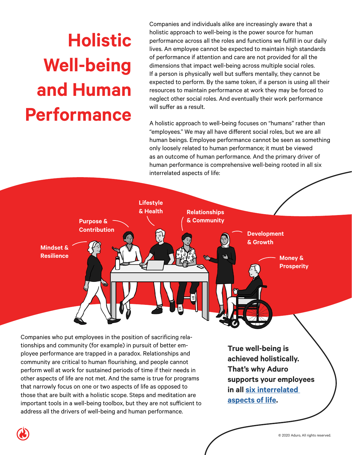## **Holistic Well-being and Human Performance**

Companies and individuals alike are increasingly aware that a holistic approach to well-being is the power source for human performance across all the roles and functions we fulfill in our daily lives. An employee cannot be expected to maintain high standards of performance if attention and care are not provided for all the dimensions that impact well-being across multiple social roles. If a person is physically well but suffers mentally, they cannot be expected to perform. By the same token, if a person is using all their resources to maintain performance at work they may be forced to neglect other social roles. And eventually their work performance will suffer as a result.

A holistic approach to well-being focuses on "humans" rather than "employees." We may all have different social roles, but we are all human beings. Employee performance cannot be seen as something only loosely related to human performance; it must be viewed as an outcome of human performance. And the primary driver of human performance is comprehensive well-being rooted in all six interrelated aspects of life:



tionships and community (for example) in pursuit of better employee performance are trapped in a paradox. Relationships and community are critical to human flourishing, and people cannot perform well at work for sustained periods of time if their needs in other aspects of life are not met. And the same is true for programs that narrowly focus on one or two aspects of life as opposed to those that are built with a holistic scope. Steps and meditation are important tools in a well-being toolbox, but they are not sufficient to address all the drivers of well-being and human performance.

**True well-being is achieved holistically. That's why Aduro supports your employees in all [six interrelated](https://adurolife.com/solutions/)  [aspects of life](https://adurolife.com/solutions/).**

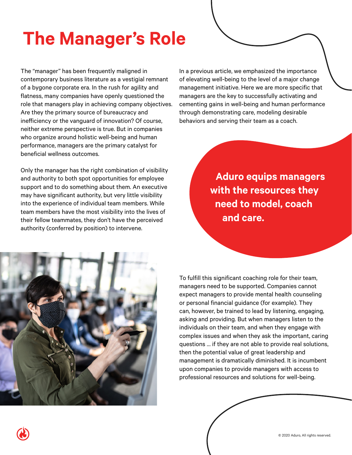### **The Manager's Role**

The "manager" has been frequently maligned in contemporary business literature as a vestigial remnant of a bygone corporate era. In the rush for agility and flatness, many companies have openly questioned the role that managers play in achieving company objectives. Are they the primary source of bureaucracy and inefficiency or the vanguard of innovation? Of course, neither extreme perspective is true. But in companies who organize around holistic well-being and human performance, managers are the primary catalyst for beneficial wellness outcomes.

Only the manager has the right combination of visibility and authority to both spot opportunities for employee support and to do something about them. An executive may have significant authority, but very little visibility into the experience of individual team members. While team members have the most visibility into the lives of their fellow teammates, they don't have the perceived authority (conferred by position) to intervene.

In a previous article, we emphasized the importance of elevating well-being to the level of a major change management initiative. Here we are more specific that managers are the key to successfully activating and cementing gains in well-being and human performance through demonstrating care, modeling desirable behaviors and serving their team as a coach.

> **Aduro equips managers with the resources they need to model, coach and care.**



To fulfill this significant coaching role for their team, managers need to be supported. Companies cannot expect managers to provide mental health counseling or personal financial guidance (for example). They can, however, be trained to lead by listening, engaging, asking and providing. But when managers listen to the individuals on their team, and when they engage with complex issues and when they ask the important, caring questions … if they are not able to provide real solutions, then the potential value of great leadership and management is dramatically diminished. It is incumbent upon companies to provide managers with access to professional resources and solutions for well-being.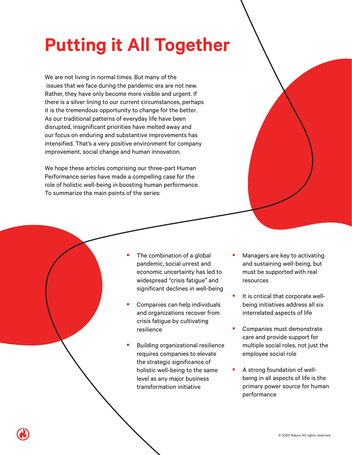### **Putting it All Together**

We are not living in normal times. But many of the issues that we face during the pandemic era are not new. Rather, they have only become more visible and urgent. If there is a silver lining to our current circumstances, perhaps it is the tremendous opportunity to change for the better. As our traditional patterns of everyday life have been disrupted, insignificant priorities have melted away and our focus on enduring and substantive improvements has intensified. That's a very positive environment for company improvement, social change and human innovation.

We hope these articles comprising our three-part Human Performance series have made a compelling case for the role of holistic well-being in boosting human performance. To summarize the main points of the series:

- The combination of a global pandemic, social unrest and economic uncertainty has led to widespread "crisis fatigue" and significant declines in well-being
- Companies can help individuals and organizations recover from crisis fatigue by cultivating resilience
- Building organizational resilience requires companies to elevate the strategic significance of holistic well-being to the same level as any major business transformation initiative
- Managers are key to activating and sustaining well-being, but must be supported with real resources
- $\blacksquare$  It is critical that corporate wellbeing initiatives address all six interrelated aspects of life
- Companies must demonstrate care and provide support for multiple social roles, not just the employee social role
- **A strong foundation of well**being in all aspects of life is the primary power source for human performance